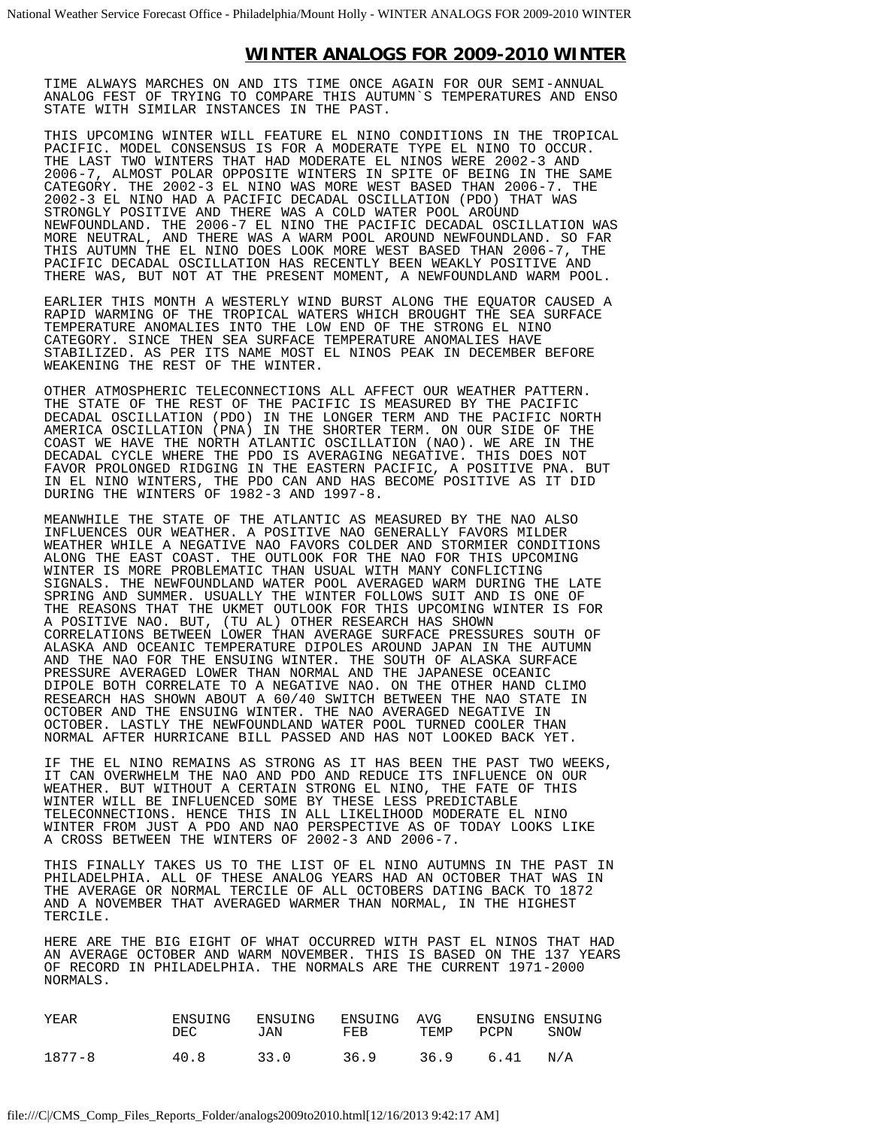## **WINTER ANALOGS FOR 2009-2010 WINTER**

TIME ALWAYS MARCHES ON AND ITS TIME ONCE AGAIN FOR OUR SEMI-ANNUAL ANALOG FEST OF TRYING TO COMPARE THIS AUTUMN`S TEMPERATURES AND ENSO STATE WITH SIMILAR INSTANCES IN THE PAST.

THIS UPCOMING WINTER WILL FEATURE EL NINO CONDITIONS IN THE TROPICAL PACIFIC. MODEL CONSENSUS IS FOR A MODERATE TYPE EL NINO TO OCCUR. THE LAST TWO WINTERS THAT HAD MODERATE EL NINOS WERE 2002-3 AND 2006-7, ALMOST POLAR OPPOSITE WINTERS IN SPITE OF BEING IN THE SAME CATEGORY. THE 2002-3 EL NINO WAS MORE WEST BASED THAN 2006-7. THE 2002-3 EL NINO HAD A PACIFIC DECADAL OSCILLATION (PDO) THAT WAS STRONGLY POSITIVE AND THERE WAS A COLD WATER POOL AROUND NEWFOUNDLAND. THE 2006-7 EL NINO THE PACIFIC DECADAL OSCILLATION WAS MORE NEUTRAL, AND THERE WAS A WARM POOL AROUND NEWFOUNDLAND. SO FAR THIS AUTUMN THE EL NINO DOES LOOK MORE WEST BASED THAN 2006-7, THE PACIFIC DECADAL OSCILLATION HAS RECENTLY BEEN WEAKLY POSITIVE AND THERE WAS, BUT NOT AT THE PRESENT MOMENT, A NEWFOUNDLAND WARM POOL.

EARLIER THIS MONTH A WESTERLY WIND BURST ALONG THE EQUATOR CAUSED A RAPID WARMING OF THE TROPICAL WATERS WHICH BROUGHT THE SEA SURFACE TEMPERATURE ANOMALIES INTO THE LOW END OF THE STRONG EL NINO CATEGORY. SINCE THEN SEA SURFACE TEMPERATURE ANOMALIES HAVE STABILIZED. AS PER ITS NAME MOST EL NINOS PEAK IN DECEMBER BEFORE WEAKENING THE REST OF THE WINTER.

OTHER ATMOSPHERIC TELECONNECTIONS ALL AFFECT OUR WEATHER PATTERN. THE STATE OF THE REST OF THE PACIFIC IS MEASURED BY THE PACIFIC DECADAL OSCILLATION (PDO) IN THE LONGER TERM AND THE PACIFIC NORTH AMERICA OSCILLATION (PNA) IN THE SHORTER TERM. ON OUR SIDE OF THE COAST WE HAVE THE NORTH ATLANTIC OSCILLATION (NAO). WE ARE IN THE DECADAL CYCLE WHERE THE PDO IS AVERAGING NEGATIVE. THIS DOES NOT FAVOR PROLONGED RIDGING IN THE EASTERN PACIFIC, A POSITIVE PNA. BUT IN EL NINO WINTERS, THE PDO CAN AND HAS BECOME POSITIVE AS IT DID DURING THE WINTERS OF 1982-3 AND 1997-8.

MEANWHILE THE STATE OF THE ATLANTIC AS MEASURED BY THE NAO ALSO INFLUENCES OUR WEATHER. A POSITIVE NAO GENERALLY FAVORS MILDER WEATHER WHILE A NEGATIVE NAO FAVORS COLDER AND STORMIER CONDITIONS ALONG THE EAST COAST. THE OUTLOOK FOR THE NAO FOR THIS UPCOMING WINTER IS MORE PROBLEMATIC THAN USUAL WITH MANY CONFLICTING SIGNALS. THE NEWFOUNDLAND WATER POOL AVERAGED WARM DURING THE LATE SPRING AND SUMMER. USUALLY THE WINTER FOLLOWS SUIT AND IS ONE OF THE REASONS THAT THE UKMET OUTLOOK FOR THIS UPCOMING WINTER IS FOR A POSITIVE NAO. BUT, (TU AL) OTHER RESEARCH HAS SHOWN CORRELATIONS BETWEEN LOWER THAN AVERAGE SURFACE PRESSURES SOUTH OF ALASKA AND OCEANIC TEMPERATURE DIPOLES AROUND JAPAN IN THE AUTUMN AND THE NAO FOR THE ENSUING WINTER. THE SOUTH OF ALASKA SURFACE PRESSURE AVERAGED LOWER THAN NORMAL AND THE JAPANESE OCEANIC DIPOLE BOTH CORRELATE TO A NEGATIVE NAO. ON THE OTHER HAND CLIMO RESEARCH HAS SHOWN ABOUT A 60/40 SWITCH BETWEEN THE NAO STATE IN OCTOBER AND THE ENSUING WINTER. THE NAO AVERAGED NEGATIVE IN OCTOBER. LASTLY THE NEWFOUNDLAND WATER POOL TURNED COOLER THAN NORMAL AFTER HURRICANE BILL PASSED AND HAS NOT LOOKED BACK YET.

IF THE EL NINO REMAINS AS STRONG AS IT HAS BEEN THE PAST TWO WEEKS, IT CAN OVERWHELM THE NAO AND PDO AND REDUCE ITS INFLUENCE ON OUR WEATHER. BUT WITHOUT A CERTAIN STRONG EL NINO, THE FATE OF THIS WINTER WILL BE INFLUENCED SOME BY THESE LESS PREDICTABLE TELECONNECTIONS. HENCE THIS IN ALL LIKELIHOOD MODERATE EL NINO WINTER FROM JUST A PDO AND NAO PERSPECTIVE AS OF TODAY LOOKS LIKE A CROSS BETWEEN THE WINTERS OF 2002-3 AND 2006-7.

THIS FINALLY TAKES US TO THE LIST OF EL NINO AUTUMNS IN THE PAST IN PHILADELPHIA. ALL OF THESE ANALOG YEARS HAD AN OCTOBER THAT WAS IN THE AVERAGE OR NORMAL TERCILE OF ALL OCTOBERS DATING BACK TO 1872 AND A NOVEMBER THAT AVERAGED WARMER THAN NORMAL, IN THE HIGHEST TERCILE.

HERE ARE THE BIG EIGHT OF WHAT OCCURRED WITH PAST EL NINOS THAT HAD AN AVERAGE OCTOBER AND WARM NOVEMBER. THIS IS BASED ON THE 137 YEARS OF RECORD IN PHILADELPHIA. THE NORMALS ARE THE CURRENT 1971-2000 NORMALS.

| YEAR   | ENSUING<br>DEC | ENSUING<br>JAN | ENSUING<br>FEB | AVG<br>TEMP | ENSUING ENSUING<br>PCPN | SNOW |
|--------|----------------|----------------|----------------|-------------|-------------------------|------|
| 1877-8 | 40.8           | 33.0           | 36.9           | 36.9        | 6.41                    | N/A  |